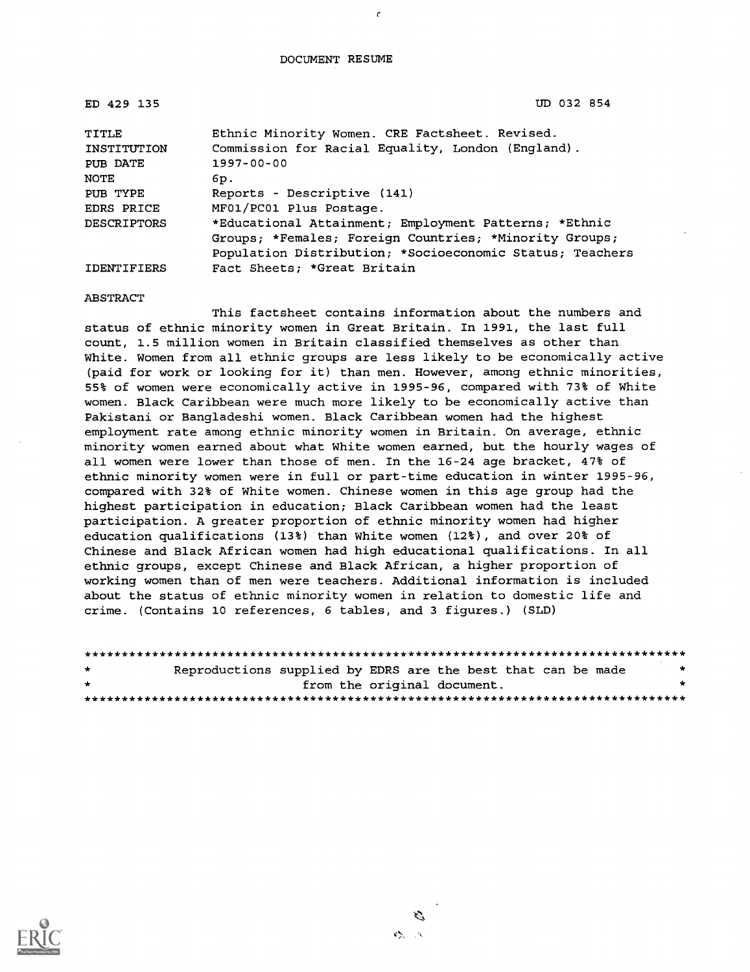#### DOCUMENT RESUME

 $\epsilon$ 

| ED 429 135           | UD 032 854                                                                                          |
|----------------------|-----------------------------------------------------------------------------------------------------|
| TITLE<br>INSTITUTION | Ethnic Minority Women. CRE Factsheet. Revised.<br>Commission for Racial Equality, London (England). |
| PUB DATE             | 1997-00-00                                                                                          |
| <b>NOTE</b>          | 6p.                                                                                                 |
| PUB TYPE             | Reports - Descriptive (141)                                                                         |
| <b>EDRS PRICE</b>    | MF01/PC01 Plus Postage.                                                                             |
| <b>DESCRIPTORS</b>   | *Educational Attainment; Employment Patterns; *Ethnic                                               |
|                      | Groups; *Females; Foreign Countries; *Minority Groups;                                              |
|                      | Population Distribution; *Socioeconomic Status; Teachers                                            |
| <b>IDENTIFIERS</b>   | Fact Sheets; *Great Britain                                                                         |

#### ABSTRACT

This factsheet contains information about the numbers and status of ethnic minority women in Great Britain. In 1991, the last full count, 1.5 million women in Britain classified themselves as other than White. Women from all ethnic groups are less likely to be economically active (paid for work or looking for it) than men. However, among ethnic minorities, 55% of women were economically active in 1995-96, compared with 73% of White women. Black Caribbean were much more likely to be economically active than Pakistani or Bangladeshi women. Black Caribbean women had the highest employment rate among ethnic minority women in Britain. On average, ethnic minority women earned about what White women earned, but the hourly wages of all women were lower than those of men. In the 16-24 age bracket, 47% of ethnic minority women were in full or part-time education in winter 1995-96, compared with 32% of White women. Chinese women in this age group had the highest participation in education; Black Caribbean women had the least participation. A greater proportion of ethnic minority women had higher education qualifications (13%) than White women (12%), and over 20% of Chinese and Black African women had high educational qualifications. In all ethnic groups, except Chinese and Black African, a higher proportion of working women than of men were teachers. Additional information is included about the status of ethnic minority women in relation to domestic life and crime. (Contains 10 references, 6 tables, and 3 figures.) (SLD)

| $\cdot$ | Reproductions supplied by EDRS are the best that can be made |                             |  |  | * |
|---------|--------------------------------------------------------------|-----------------------------|--|--|---|
| $\cdot$ |                                                              | from the original document. |  |  |   |
|         |                                                              |                             |  |  |   |



 $\mathcal{C}^{\mathbf{A}}_{\mathbf{A},\mathbf{A}}$  .  $\mathcal{C}^{\mathbf{A}}_{\mathbf{A}}$ 

يوسج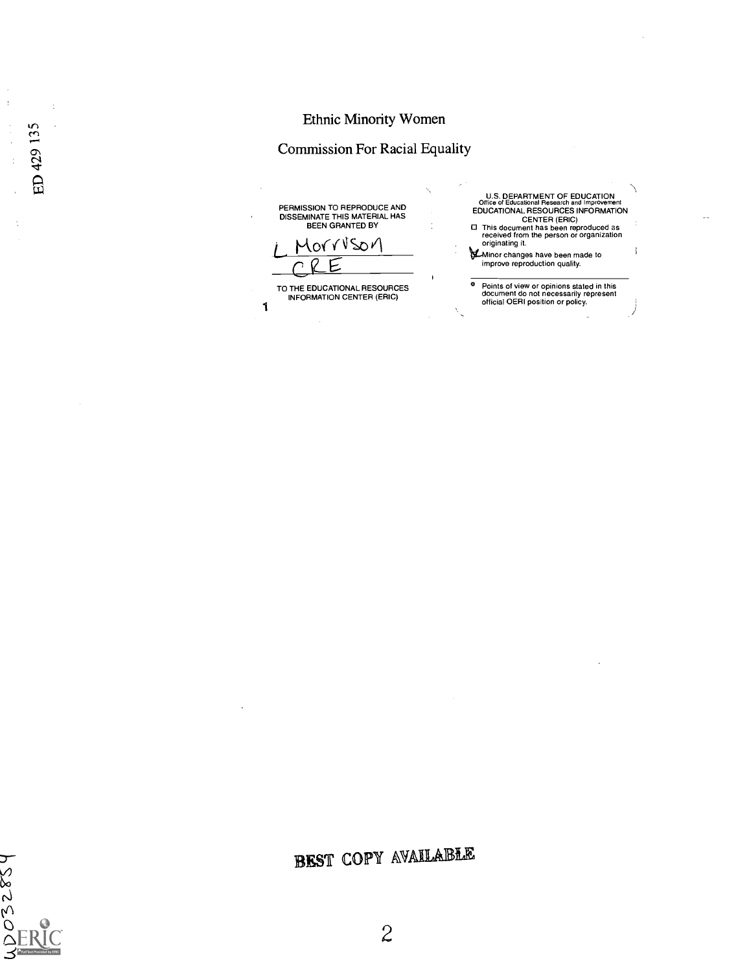# Ethnic Minority Women

# Commission For Racial Equality

| PERMISSION TO REPRODUCE AND<br>DISSEMINATE THIS MATERIAL HAS<br><b>BEEN GRANTED BY</b><br>torruson | <b>U.S. DEPARTMENT OF EDUCATION</b><br>Office of Educational Research and Improvement<br>EDUCATIONAL RESOURCES INFORMATION<br><b>CENTER (ERIC)</b><br>□ This document has been reproduced as<br>received from the person or organization<br>originating it.<br>Minor changes have been made to<br>improve reproduction quality. |
|----------------------------------------------------------------------------------------------------|---------------------------------------------------------------------------------------------------------------------------------------------------------------------------------------------------------------------------------------------------------------------------------------------------------------------------------|
| TO THE EDUCATIONAL RESOURCES<br>INFORMATION CENTER (ERIC)                                          | Points of view or opinions stated in this<br>document do not necessarily represent<br>official OERI position or policy.                                                                                                                                                                                                         |

 $\sim$ 



 $\frac{a}{\alpha}$ 

 $\ddot{\phantom{a}}$ 

ED 429 135

EST COPY AVAILABLE

 $\overline{c}$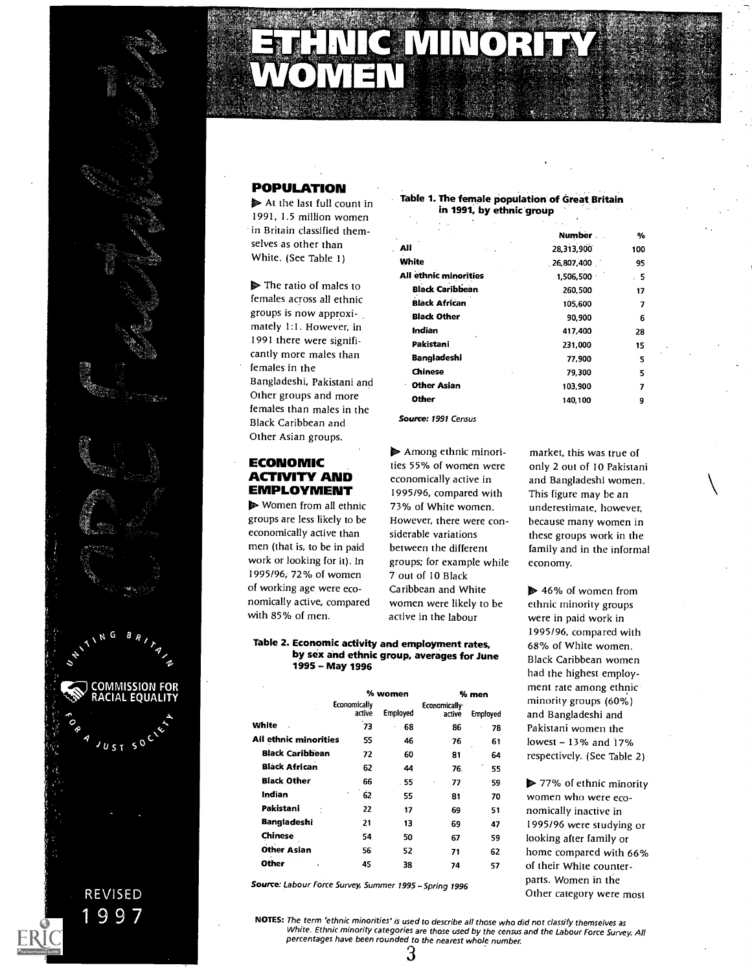

# :x

# POPULATION

 $\triangleright$  At the last full count in 1991, 1.5 million women in Britain classified themselves as other than

females than males in the<br> **Source: 1991 Census** Black Caribbean and Other Asian groups

# ECONOMIC ACTIVITY AND EMPLOYMENT

▶ Women from all ethnic groups are less likely to be economically active than men (that is, to be in paid work or looking for it). In 1995/96, 72% of women of working age were economically active, compared with 85% of men.

#### Table 1. The female population of Great Britain in 1991, by ethnic group

| in Britain classified them-                                                                                                                                                                                                       |                        | Number     | %   |  |
|-----------------------------------------------------------------------------------------------------------------------------------------------------------------------------------------------------------------------------------|------------------------|------------|-----|--|
| selves as other than                                                                                                                                                                                                              | All                    | 28,313,900 | 100 |  |
| White. (See Table 1)                                                                                                                                                                                                              | <b>White</b>           | 26,807,400 | 95  |  |
|                                                                                                                                                                                                                                   | All ethnic minorities  | 1,506,500  | .5  |  |
| $\triangleright$ The ratio of males to                                                                                                                                                                                            | <b>Black Caribbean</b> | 260,500    | 17  |  |
| females across all ethnic                                                                                                                                                                                                         | <b>Black African</b>   | 105.600    | 7   |  |
| groups is now approxi-                                                                                                                                                                                                            | <b>Black Other</b>     | 90,900     | 6   |  |
| mately 1:1. However, in                                                                                                                                                                                                           | Indian                 | 417,400    | 28  |  |
| 1991 there were signifi-                                                                                                                                                                                                          | Pakistani              | 231,000    | 15  |  |
| cantly more males than                                                                                                                                                                                                            | <b>Bangladeshi</b>     | 77,900     | 5   |  |
| females in the                                                                                                                                                                                                                    | <b>Chinese</b>         | 79,300     | 5   |  |
| Bangladeshi, Pakistani and                                                                                                                                                                                                        | <b>Other Asian</b>     | 103.900    | 7   |  |
| Other groups and more                                                                                                                                                                                                             | <b>Other</b>           | 140,100    | 9   |  |
| $\mathbf{r}$ . It is the set of the set of the set of the set of the set of the set of the set of the set of the set of the set of the set of the set of the set of the set of the set of the set of the set of the set of the se |                        |            |     |  |

**Among ethnic minori**ties 55% of women were economically active in 1995/96, compared with 73% of White women However, there were considerable variations between the different groups; for example while 7 out of 10 Black Caribbean and White women were likely to be active in the labour

#### Table 2. Economic activity and employment rates, by sex and ethnic group, averages for June 1995 - May 1996

|                        |              | % women         |              | % men           | n  |
|------------------------|--------------|-----------------|--------------|-----------------|----|
|                        | Economically |                 | Economically |                 | п  |
|                        | active       | <b>Employed</b> | active       | <b>Employed</b> | a  |
| White                  | 73           | 68              | 86           | 78              | P  |
| All ethnic minorities  | 55           | 46              | 76           | 61              | lc |
| <b>Black Caribbean</b> | 72           | 60              | 81           | 64              | r  |
| <b>Black African</b>   | 62           | 44              | 76.          | 55              |    |
| <b>Black Other</b>     | 66           | . 55            | 77<br>ï      | 59              | ø  |
| Indian                 | ٠<br>62      | 55              | 81           | 70              | W  |
| Pakistani              | 22           | 17              | 69           | 51              | n  |
| <b>Bangladeshi</b>     | 21           | 13              | 69           | 47              | Ρ  |
| Chinese                | 54           | 50              | 67           | 59              | lc |
| <b>Other Asian</b>     | 56           | 52              | 71           | 62              | h  |
| Other<br>٠             | 45           | 38              | 74           | 57              | O. |
|                        |              |                 |              |                 |    |

Source: Labour Force Survey, Summer 1995 - Spring 1996

market, this was true of only 2 out of 10 Pakistani and Bangladeshi women This figure may be an underestimate, however, because many women in these groups work in the family and in the informal economy.

Employed and Bangladeshi and 78 Pakistani women the 64 respectively. (See Table 2)  $\triangleright$  46% of women from ethnic minority groups were in paid work in 1995/96, compared with 68% of White women. Black Caribbean women had the highest employment rate among ethnic minority groups (60%) lowest - 13% and 17%

70 women who were eco-51 nomically inactive in 47 1995/96 were studying or 62 home compared with 66% 57 of their White counter- $\triangleright$  77% of ethnic minority looking after family or parts. Women in the Other category were most

NOTES: The term 'ethnic minorities' is used to describe all those who did not classify themselves as White. Ethnic minority categories are those used by the census and the Labour Force Survey. All percentages have been rounded to the nearest whole number.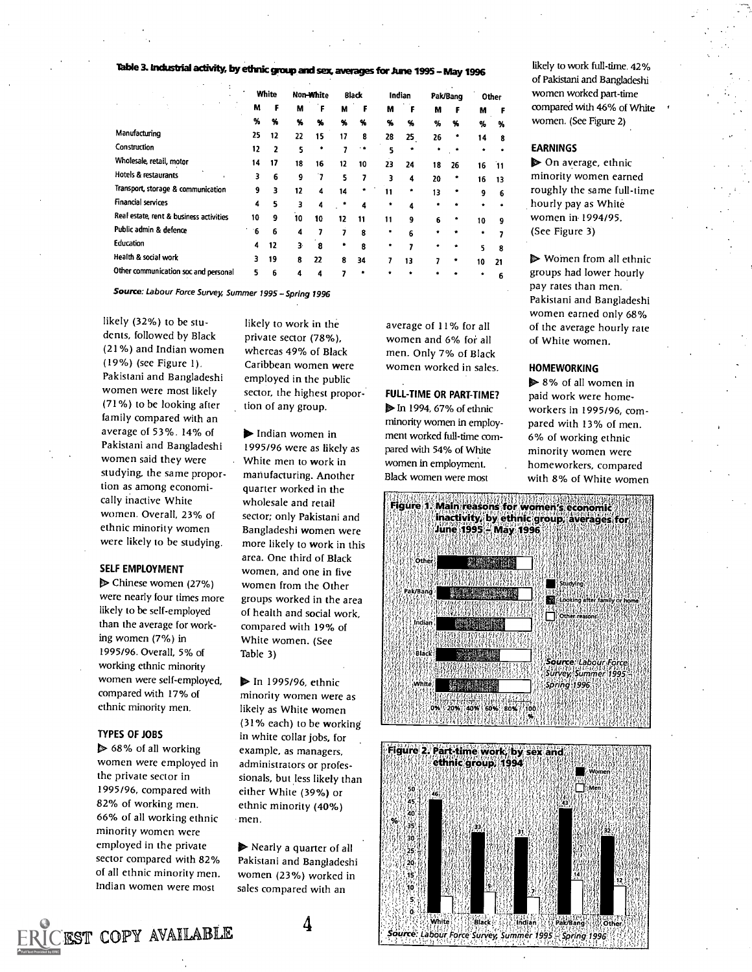# Table 3. Industrial activity, by ethnic group and sex, averages for June 1995 - May 1996

|                                         |     | White |    | Non-White               |    | <b>Black</b> |    | Indian |    | Pak/Bang |    | Other | wom  |
|-----------------------------------------|-----|-------|----|-------------------------|----|--------------|----|--------|----|----------|----|-------|------|
|                                         | м   | F     | м  | F                       | м  | F            | м  | F      | M  | F        | м  | F     | comp |
|                                         | %   | %     | %  | $\boldsymbol{\gamma_0}$ | %  | %            | %  | %      | %  | %        | %  | %     | wom  |
| Manufacturing                           | 25  | 12    | 22 | 15                      | 17 | 8            | 28 | 25     | 26 | ٠        | 14 | 8     |      |
| Construction                            | 12  | 2     | 5  |                         |    |              |    |        |    |          |    |       | EARN |
| Wholesale, retail, motor                | 14  | 17    | 18 | 16                      | 12 | 10           | 23 | 24     | 18 | 26       | 16 | 11    | D O  |
| Hotels & restaurants                    | 3   | 6     | 9  | 7                       | 5  |              | ર  | 4      | 20 | ۰        | 16 | 13    | mino |
| Transport, storage & communication      | 9   | 3     | 12 | 4                       | 14 |              | 11 |        | 13 | ٠        | 9  | 6     | roug |
| <b>Financial services</b>               | 4   | 5     | 3  | 4                       |    | 4            |    | 4      |    |          | ۰  |       | hour |
| Real estate, rent & business activities | 10  | g     | 10 | 10                      | 12 | 11           | 11 | 9      | 6  |          | 10 | 9     | wom  |
| Public admin & defence                  | - 6 | 6     | 4  |                         |    | 8            |    | ĥ      |    |          |    |       | (See |
| Education                               | 4   | 12    | 3. | 8                       |    | R            |    |        |    |          | 5. | 8     |      |
| Health & social work                    | 3   | 19    | 8  | 22                      | 8  | 34           |    | 13     |    |          | 10 | 21    | D W  |
| Other communication soc and personal    | 5   | 6     | 4  | 4                       |    |              |    |        |    |          |    | 6     | grou |

Source: Labour Force Survey, Summer 1995 - Spring 1996

likely (32%) to be students, followed by Black (21%) and Indian women (19%) (see Figure 1). Pakistani and Bangladeshi women were most likely (71%) to be looking after family compared with an average of 53%. 14% of Pakistani and Bangladeshi women said they were studying, the same proportion as among economically inactive White women. Overall, 23% of ethnic minority women were likely to be studying.

#### SELF EMPLOYMENT

3° Chinese women (27%) were nearly four times more likely to be self-employed than the average for working women (7%) in 1995196. Overall, 5% of working ethnic minority women were self-employed, compared with 17% of ethnic minority men.

#### TYPES OF JOBS

▶ 68% of all working women were employed in the private sector in 1995/96, compared with 82% of working men. 66% of all working ethnic minority women were employed in the private sector compared with 82% of all ethnic minority men. Indian women were most

likely to work in the private sector (78%), whereas 49% of Black Caribbean women were employed in the public sector, the highest proportion of any group.

 $\blacktriangleright$  Indian women in 1995/96 were as likely as White men to work in manufacturing. Another quarter worked in the wholesale and retail sector; only Pakistani and Bangladeshi women were more likely to work in this area. One third of Black women, and one in five women from the Other groups worked in the area of health and social work, compared with 19% of White women. (See Table 3)

**D** In 1995/96, ethnic minority women were as likely as White women (31% each) to be working in white collar jobs, for example, as managers. administrators or professionals, but less likely than either White (39%) or ethnic minority (40%) men.

 $\triangleright$  Nearly a quarter of all Pakistani and Bangladeshi women (23%) worked in sales compared with an

average of 11% for all women and 6% for all men. Only 7% of Black women worked in sales.

# FULL-T1ME OR PART-TIME?

**D** In 1994, 67% of ethnic minority women in employment worked full-time compared with 54% of White women in employment. Black women were most

% % % % women. (See Figure 2) MF compared with 46% of White likely to work full-time. 42% of Pakistani and Bangladeshi women worked part-time

#### EARNINGS

 $\triangleright$  On average, ethnic minority women earned roughly the same full-time hourly pay as White women in 1994/95. (See Figure 3)

Women from all ethnic groups had lower hourly pay rates than men. Pakistani and Bangladeshi women earned only 68% of the average hourly rate of White women.

#### **HOMEWORKING**

 $\triangleright$  8% of all women in paid work were homeworkers in 1995/96, compared with 13% of men. 6% of working ethnic minority women were homeworkers, compared with 8% of White women





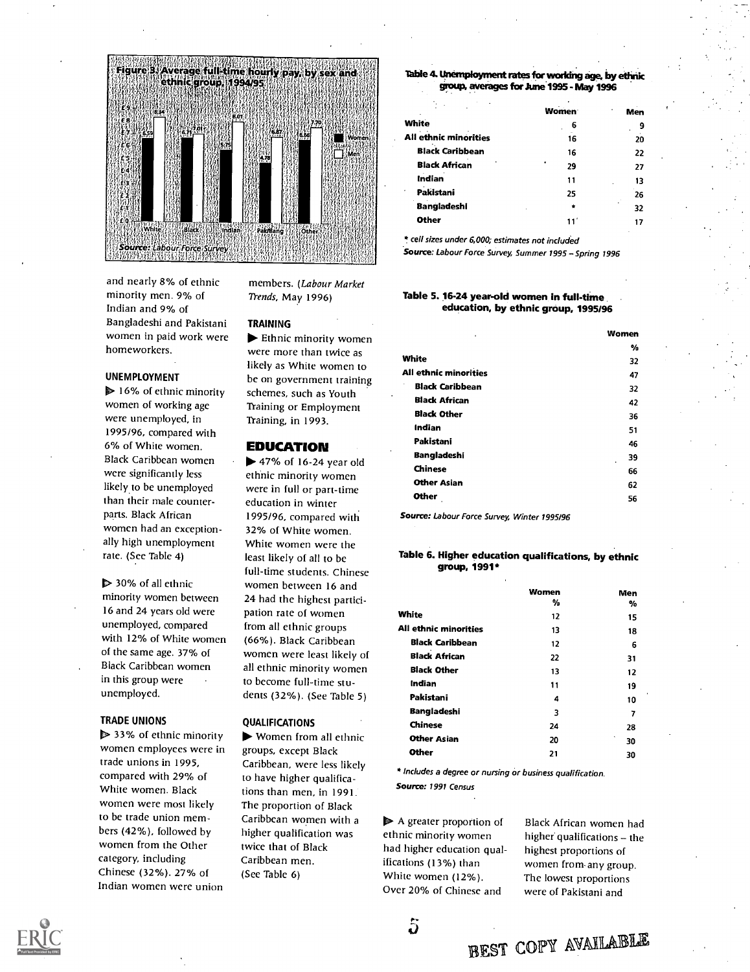

and nearly 8% of ethnic minority men. 9% of Indian and 9% of Bangladeshi and Pakistani women in paid work were homeworkers.

#### UNEMPLOYMENT

 $\triangleright$  16% of ethnic minority women of working age were unemployed, in 1995/96, compared with 6% of White women. Black Caribbean women were significantly less likely to be unemployed than their male counterparts. Black African women had an exceptionally high unemployment rate. (See Table 4)

> 30% of all ethnic minority women between 16 and 24 years old were unemployed, compared with 12% of White women of the same age. 37% of Black Caribbean women in this group were unemployed.

#### TRADE UNIONS

▶ 33% of ethnic minority women employees were in trade unions in 1995, compared with 29% of White women. Black women were most likely to be trade union members (42%), followed by womcn from the Other category, including Chinese (32%). 27% of Indian women were union

members. (Labour Market Trends, May 1996)

#### TRAINING

 $\blacktriangleright$  Ethnic minority women were more than twice as likely as White women to be on government training schemes, such as Youth Training or Employment Training, in 1993.

#### EDUCATION

 $\blacktriangleright$  47% of 16-24 year old ethnic minority women were in full or part-time education in winter 1995/96, compared with 32% of White women. White women were the least likely of all to be full-time students. Chinese women between 16 and 24 had the highest participation rate of women from all ethnic groups (66%). Black Caribbean women were least likely of all ethnic minority women to become full-time students (32%). (See Table 5)

#### QUALIFICATIONS

 $\blacktriangleright$  Women from all ethnic groups, except Black Caribbean, were less likely to have higher qualifications than men, in 1991. The proportion of Black Caribbean women with a higher qualification was twice that of Black Caribbean men. (See Table 6)

#### Ibble 4. Unemployment rates for waking age, by ethnic group, averages for June 1995 - May 1996

|                              | <b>Women</b> | ٠<br>Men | ٠ |
|------------------------------|--------------|----------|---|
| <b>White</b>                 | 6            | 9        |   |
| <b>All ethnic minorities</b> | 16           | 20       |   |
| <b>Black Caribbean</b>       | 16           | 22       |   |
| <b>Black African</b>         | ٠<br>29      | 27       |   |
| Indian                       | 11           | 13       |   |
| Pakistani<br>$\cdot$         | 25           | 26       |   |
| <b>Bangladeshi</b>           |              | 32       |   |
| <b>Other</b>                 | 11'          | 17       |   |
|                              |              |          |   |

\* cell sizes under 6,000; estimates not included

Source: Labour Force Survey, Summer 1995 - Spring 1996

#### Table 5. 16-24 year-old women in full-time education, by ethnic group, 1995/96

| %  | $\ddot{\phantom{0}}$ |
|----|----------------------|
| 32 |                      |
| 47 |                      |
| 32 |                      |
| 42 |                      |
| 36 |                      |
| 51 |                      |
| 46 |                      |
| 39 |                      |
| 66 |                      |
| 62 |                      |
| 56 |                      |
|    |                      |

Source: Labour Force Survey, Winter 1995/96

#### Table 6. Higher education qualifications, by ethnic group, 1991\*

|                        | Women | Men     |
|------------------------|-------|---------|
|                        | %     | %       |
| White                  | 12    | 15      |
| All ethnic minorities  | 13    | 18      |
| <b>Black Caribbean</b> | 12    | 6       |
| <b>Black African</b>   | 22    | 31      |
| <b>Black Other</b>     | 13    | 12      |
| Indian                 | 11    | 19      |
| Pakistani              | 4     | 10      |
| <b>Bangladeshi</b>     | 3     | 7       |
| <b>Chinese</b>         | 24    | 28      |
| <b>Other Asian</b>     | 20    | ٠<br>30 |
| Other                  | 21    | 30      |

\* Includes a degree or nursing or business qualification. Source: 1991 Census

 $\blacktriangleright$  A greater proportion of ethnic minority women had higher education qualifications (13%) than White women (12%). Over 20% of Chinese and

 $\ddot{\bm{\omega}}$ 

Black African women had higher qualifications - the highest proportions of women from-any group. The lowest proportions were of Pakistani and